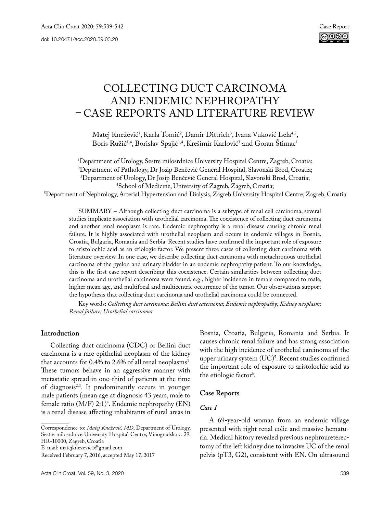# Collecting duct carcinoma and endemic nephropathy – case reportS and literature review

Matej Knežević<sup>1</sup>, Karla Tomić<sup>2</sup>, Damir Dittrich<sup>3</sup>, Ivana Vuković Lela<sup>4,5</sup>, Boris Ružić<sup>1,4</sup>, Borislav Spajić<sup>1,4</sup>, Krešimir Karlović<sup>3</sup> and Goran Stimac<sup>1</sup>

<sup>1</sup>Department of Urology, Sestre milosrdnice University Hospital Centre, Zagreb, Croatia; 'Department of Urology, Sestre milosrdnice University Hospital Centre, Zagreb, Croatia;<br><sup>2</sup>Department of Pathology, Dr Iosin Benčević General Hospital, Slavonski Brod, Croatia: Department of Pathology, Dr Josip Benčević General Hospital, Slavonski Brod, Croatia;<br><sup>3</sup>Department of Urology. Dr Josip Benčević General Hospital. Slavonski Brod. Croatia: <sup>3</sup>Department of Urology, Dr Josip Benčević General Hospital, Slavonski Brod, Croatia;<br><sup>4</sup>School of Medicine, University of Zagreb, Zagreb, Croatia;

School of Medicine, University of Zagreb, Zagreb, Croatia; 5 Department of Nephrology, Arterial Hypertension and Dialysis, Zagreb University Hospital Centre, Zagreb, Croatia

SUMMARY – Although collecting duct carcinoma is a subtype of renal cell carcinoma, several studies implicate association with urothelial carcinoma. The coexistence of collecting duct carcinoma and another renal neoplasm is rare. Endemic nephropathy is a renal disease causing chronic renal failure. It is highly associated with urothelial neoplasm and occurs in endemic villages in Bosnia, Croatia, Bulgaria, Romania and Serbia. Recent studies have confirmed the important role of exposure to aristolochic acid as an etiologic factor. We present three cases of collecting duct carcinoma with literature overview. In one case, we describe collecting duct carcinoma with metachronous urothelial carcinoma of the pyelon and urinary bladder in an endemic nephropathy patient. To our knowledge, this is the first case report describing this coexistence. Certain similarities between collecting duct carcinoma and urothelial carcinoma were found, e.g., higher incidence in female compared to male, higher mean age, and multifocal and multicentric occurrence of the tumor. Our observations support the hypothesis that collecting duct carcinoma and urothelial carcinoma could be connected.

Key words: *Collecting duct carcinoma; Bellini duct carcinoma; Endemic nephropathy; Kidney neoplasm; Renal failure; Urothelial carcinoma*

## **Introduction**

Collecting duct carcinoma (CDC) or Bellini duct carcinoma is a rare epithelial neoplasm of the kidney that accounts for  $0.4\%$  to  $2.6\%$  of all renal neoplasms<sup>1</sup>. These tumors behave in an aggressive manner with metastatic spread in one-third of patients at the time of diagnosis2,3. It predominantly occurs in younger male patients (mean age at diagnosis 43 years, male to female ratio (M/F) 2:1)<sup>4</sup>. Endemic nephropathy (EN) is a renal disease affecting inhabitants of rural areas in

E-mail: [matejknezevic1@gmail.com](mailto:matejknezevic1@gmail.com)

Bosnia, Croatia, Bulgaria, Romania and Serbia. It causes chronic renal failure and has strong association with the high incidence of urothelial carcinoma of the upper urinary system (UC)<sup>5</sup>. Recent studies confirmed the important role of exposure to aristolochic acid as the etiologic factor<sup>6</sup>.

## **Case Reports**

## *Case 1*

A 69-year-old woman from an endemic village presented with right renal colic and massive hematuria. Medical history revealed previous nephroureterectomy of the left kidney due to invasive UC of the renal pelvis (pT3, G2), consistent with EN. On ultrasound

Correspondence to: *Matej Knežević, MD*, Department of Urology, Sestre milosrdnice University Hospital Centre, Vinogradska c. 29, HR-10000, Zagreb, Croatia

Received February 7, 2016, accepted May 17, 2017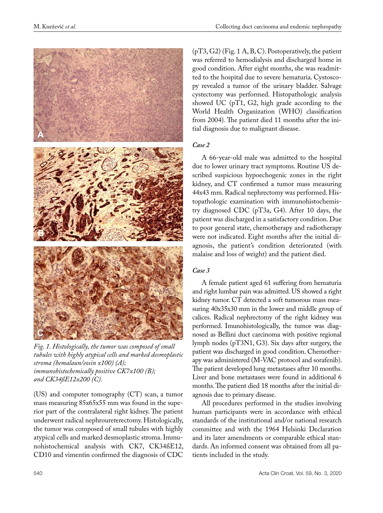

*Fig. 1. Histologically, the tumor was composed of small tubules with highly atypical cells and marked desmoplastic stroma (hemalaun/eosin x100) (A); immunohistochemically positive CK7x100 (B); and CK34ßE12x200 (C).*

(US) and computer tomography (CT) scan, a tumor mass measuring 85x65x55 mm was found in the superior part of the contralateral right kidney. The patient underwent radical nephroureterectomy. Histologically, the tumor was composed of small tubules with highly atypical cells and marked desmoplastic stroma. Immunohistochemical analysis with CK7, CK34ßE12, CD10 and vimentin confirmed the diagnosis of CDC

 $(pT3, G2)$  (Fig. 1 A, B, C). Postoperatively, the patient was referred to hemodialysis and discharged home in good condition. After eight months, she was readmitted to the hospital due to severe hematuria. Cystoscopy revealed a tumor of the urinary bladder. Salvage cystectomy was performed. Histopathologic analysis showed UC (pT1, G2, high grade according to the World Health Organization (WHO) classification from 2004)*.* The patient died 11 months after the initial diagnosis due to malignant disease.

### *Case 2*

A 66-year-old male was admitted to the hospital due to lower urinary tract symptoms. Routine US described suspicious hypoechogenic zones in the right kidney, and CT confirmed a tumor mass measuring 44x43 mm. Radical nephrectomy was performed. Histopathologic examination with immunohistochemistry diagnosed CDC (pT3a, G4). After 10 days, the patient was discharged in a satisfactory condition. Due to poor general state, chemotherapy and radiotherapy were not indicated. Eight months after the initial diagnosis, the patient's condition deteriorated (with malaise and loss of weight) and the patient died.

## *Case 3*

A female patient aged 61 suffering from hematuria and right lumbar pain was admitted. US showed a right kidney tumor. CT detected a soft tumorous mass measuring 40x35x30 mm in the lower and middle group of calices. Radical nephrectomy of the right kidney was performed. Imunohistologically, the tumor was diagnosed as Bellini duct carcinoma with positive regional lymph nodes (pT3N1, G3). Six days after surgery, the patient was discharged in good condition. Chemotherapy was administered (M-VAC protocol and sorafenib). The patient developed lung metastases after 10 months. Liver and bone metastases were found in additional 6 months. The patient died 18 months after the initial diagnosis due to primary disease.

All procedures performed in the studies involving human participants were in accordance with ethical standards of the institutional and/or national research committee and with the 1964 Helsinki Declaration and its later amendments or comparable ethical standards. An informed consent was obtained from all patients included in the study.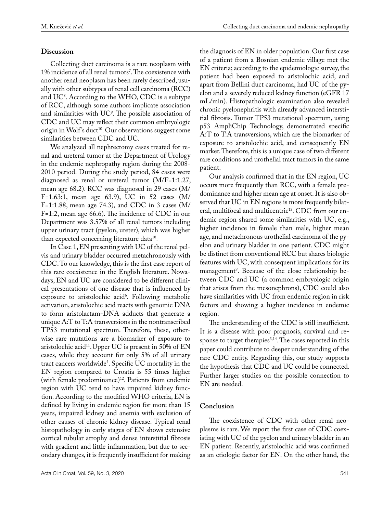# **Discussion**

Collecting duct carcinoma is a rare neoplasm with 1% incidence of all renal tumors'. The coexistence with another renal neoplasm has been rarely described, usually with other subtypes of renal cell carcinoma (RCC) and  $UC^s$ . According to the WHO, CDC is a subtype of RCC, although some authors implicate association and similarities with UC9 . The possible association of CDC and UC may reflect their common embryologic origin in Wolf's duct<sup>10</sup>. Our observations suggest some similarities between CDC and UC.

We analyzed all nephrectomy cases treated for renal and ureteral tumor at the Department of Urology in the endemic nephropathy region during the 2008- 2010 period. During the study period, 84 cases were diagnosed as renal or ureteral tumor (M/F=1:1.27, mean age 68.2). RCC was diagnosed in 29 cases (M/ F=1.63:1, mean age 63.9), UC in 52 cases (M/ F=1:1.88, mean age 74.3), and CDC in 3 cases (M/ F=1:2, mean age 66.6). The incidence of CDC in our Department was 3.57% of all renal tumors including upper urinary tract (pyelon, ureter), which was higher than expected concerning literature data<sup>10</sup>.

In Case 1, EN presenting with UC of the renal pelvis and urinary bladder occurred metachronously with CDC. To our knowledge, this is the first case report of this rare coexistence in the English literature. Nowadays, EN and UC are considered to be different clinical presentations of one disease that is influenced by exposure to aristolochic acid<sup>6</sup>. Following metabolic activation, aristolochic acid reacts with genomic DNA to form aristolactam-DNA adducts that generate a unique A:T to T:A transversions in the nontranscribed TP53 mutational spectrum. Therefore, these, otherwise rare mutations are a biomarker of exposure to aristolochic acid<sup>11</sup>. Upper UC is present in 50% of  $EN$ cases, while they account for only 5% of all urinary tract cancers worldwide<sup>5</sup>. Specific UC mortality in the EN region compared to Croatia is 55 times higher (with female predominance)12. Patients from endemic region with UC tend to have impaired kidney function. According to the modified WHO criteria, EN is defined by living in endemic region for more than 15 years, impaired kidney and anemia with exclusion of other causes of chronic kidney disease. Typical renal histopathology in early stages of EN shows extensive cortical tubular atrophy and dense interstitial fibrosis with gradient and little inflammation, but due to secondary changes, it is frequently insufficient for making

the diagnosis of EN in older population. Our first case of a patient from a Bosnian endemic village met the EN criteria; according to the epidemiologic survey, the patient had been exposed to aristolochic acid, and apart from Bellini duct carcinoma, had UC of the pyelon and a severely reduced kidney function (eGFR 17 mL/min). Histopathologic examination also revealed chronic pyelonephritis with already advanced interstitial fibrosis. Tumor TP53 mutational spectrum, using p53 AmpliChip Technology, demonstrated specific A:T to T:A transversions, which are the biomarker of exposure to aristolochic acid, and consequently EN marker. Therefore, this is a unique case of two different rare conditions and urothelial tract tumors in the same patient.

Our analysis confirmed that in the EN region, UC occurs more frequently than RCC, with a female predominance and higher mean age at onset. It is also observed that UC in EN regions is more frequently bilateral, multifocal and multicentric<sup>13</sup>. CDC from our endemic region shared some similarities with UC, e.g., higher incidence in female than male, higher mean age, and metachronous urothelial carcinoma of the pyelon and urinary bladder in one patient. CDC might be distinct from conventional RCC but shares biologic features with UC, with consequent implications for its management<sup>9</sup>. Because of the close relationship between CDC and UC (a common embryologic origin that arises from the mesonephrons), CDC could also have similarities with UC from endemic region in risk factors and showing a higher incidence in endemic region.

The understanding of the CDC is still insufficient. It is a disease with poor prognosis, survival and response to target therapies<sup>3,14</sup>. The cases reported in this paper could contribute to deeper understanding of the rare CDC entity. Regarding this, our study supports the hypothesis that CDC and UC could be connected. Further larger studies on the possible connection to EN are needed.

# **Conclusion**

The coexistence of CDC with other renal neoplasms is rare. We report the first case of CDC coexisting with UC of the pyelon and urinary bladder in an EN patient. Recently, aristolochic acid was confirmed as an etiologic factor for EN. On the other hand, the